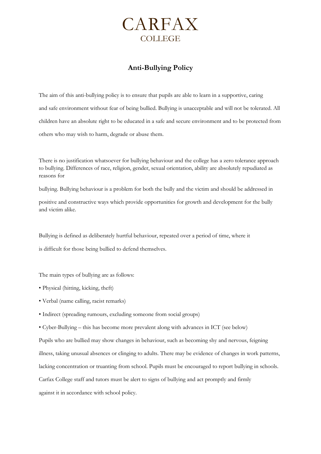

# **Anti-Bullying Policy**

The aim of this anti-bullying policy is to ensure that pupils are able to learn in a supportive, caring and safe environment without fear of being bullied. Bullying is unacceptable and will not be tolerated. All children have an absolute right to be educated in a safe and secure environment and to be protected from others who may wish to harm, degrade or abuse them.

There is no justification whatsoever for bullying behaviour and the college has a zero tolerance approach to bullying. Differences of race, religion, gender, sexual orientation, ability are absolutely repudiated as reasons for

bullying. Bullying behaviour is a problem for both the bully and the victim and should be addressed in

positive and constructive ways which provide opportunities for growth and development for the bully and victim alike.

Bullying is defined as deliberately hurtful behaviour, repeated over a period of time, where it

is difficult for those being bullied to defend themselves.

The main types of bullying are as follows:

- Physical (hitting, kicking, theft)
- Verbal (name calling, racist remarks)
- Indirect (spreading rumours, excluding someone from social groups)
- Cyber-Bullying this has become more prevalent along with advances in ICT (see below)

Pupils who are bullied may show changes in behaviour, such as becoming shy and nervous, feigning illness, taking unusual absences or clinging to adults. There may be evidence of changes in work patterns, lacking concentration or truanting from school. Pupils must be encouraged to report bullying in schools. Carfax College staff and tutors must be alert to signs of bullying and act promptly and firmly against it in accordance with school policy.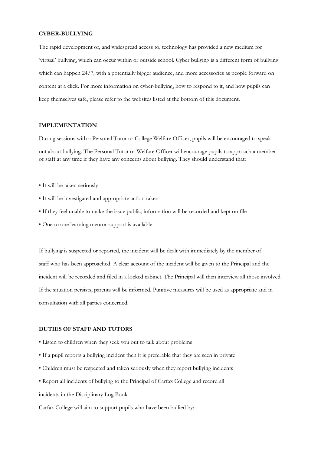#### **CYBER-BULLYING**

The rapid development of, and widespread access to, technology has provided a new medium for 'virtual' bullying, which can occur within or outside school. Cyber bullying is a different form of bullying which can happen 24/7, with a potentially bigger audience, and more accessories as people forward on content at a click. For more information on cyber-bullying, how to respond to it, and how pupils can keep themselves safe, please refer to the websites listed at the bottom of this document.

#### **IMPLEMENTATION**

During sessions with a Personal Tutor or College Welfare Officer, pupils will be encouraged to speak out about bullying. The Personal Tutor or Welfare Officer will encourage pupils to approach a member of staff at any time if they have any concerns about bullying. They should understand that:

- It will be taken seriously
- It will be investigated and appropriate action taken
- If they feel unable to make the issue public, information will be recorded and kept on file
- One to one learning mentor support is available

If bullying is suspected or reported, the incident will be dealt with immediately by the member of staff who has been approached. A clear account of the incident will be given to the Principal and the incident will be recorded and filed in a locked cabinet. The Principal will then interview all those involved. If the situation persists, parents will be informed. Punitive measures will be used as appropriate and in consultation with all parties concerned.

#### **DUTIES OF STAFF AND TUTORS**

- Listen to children when they seek you out to talk about problems
- If a pupil reports a bullying incident then it is preferable that they are seen in private
- Children must be respected and taken seriously when they report bullying incidents
- Report all incidents of bullying to the Principal of Carfax College and record all

incidents in the Disciplinary Log Book

Carfax College will aim to support pupils who have been bullied by: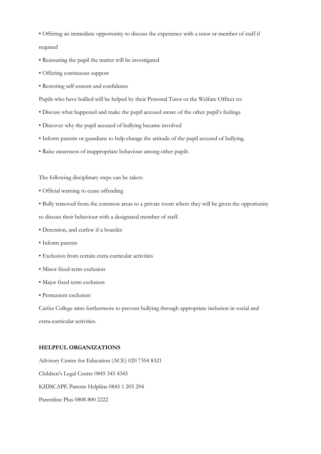• Offering an immediate opportunity to discuss the experience with a tutor or member of staff if

required

- Reassuring the pupil the matter will be investigated
- Offering continuous support
- Restoring self-esteem and confidence

Pupils who have bullied will be helped by their Personal Tutor or the Welfare Officer to:

- Discuss what happened and make the pupil accused aware of the other pupil's feelings
- Discover why the pupil accused of bullying became involved
- Inform parents or guardians to help change the attitude of the pupil accused of bullying.
- Raise awareness of inappropriate behaviour among other pupils

The following disciplinary steps can be taken:

- Official warning to cease offending
- Bully removed from the common areas to a private room where they will be given the opportunity

to discuss their behaviour with a designated member of staff.

- Detention, and curfew if a boarder
- Inform parents
- Exclusion from certain extra-curricular activities
- Minor fixed-term exclusion
- Major fixed-term exclusion
- Permanent exclusion

Carfax College aims furthermore to prevent bullying through appropriate inclusion in social and extra-curricular activities.

### **HELPFUL ORGANIZATIONS**

Advisory Centre for Education (ACE) 020 7354 8321 Children's Legal Centre 0845 345 4345 KIDSCAPE Parents Helpline 0845 1 205 204 Parentline Plus 0808 800 2222